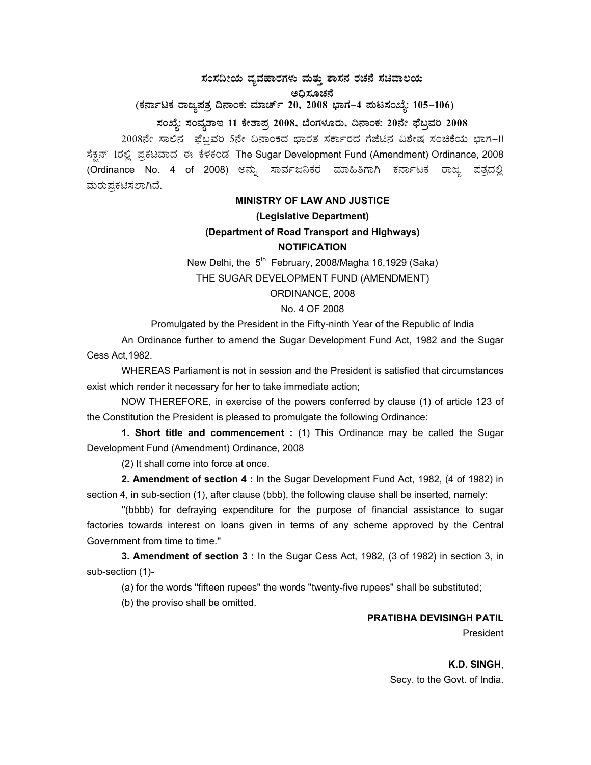# ಸಂಸದೀಯ ವ್ಯವಹಾರಗಳು ಮತ್ತು ಶಾಸನ ರಚನೆ ಸಚಿವಾಲಯ ಅಧಿಸೂಚನೆ

(ಕರ್ನಾಟಕ ರಾಜ್ಯಪತ್ರ ದಿನಾಂಕ: ಮಾರ್ಚ್ 20, 2008 ಭಾಗ–4 **ಪುಟಸಂಖ್ಯೆ: 105–106**)

## **¸ÀASÉå: ¸ÀAªÀå±ÁE 11 PÉñÁ¥Àæ 2008, ¨ÉAUÀ¼ÀÆgÀÄ, ¢£ÁAPÀ: 20£Éà ¥sɧæªÀj 2008**

2008ನೇ ಸಾಲಿನ ಫೆಬ್ರವರಿ 5ನೇ ದಿನಾಂಕದ ಭಾರತ ಸರ್ಕಾರದ ಗೆಜೆಟಿನ ವಿಶೇಷ ಸಂಚಿಕೆಯ ಭಾಗ–II ಸೆಕ್ಷನ್ 1ರಲ್ಲಿ ಪ್ರಕಟವಾದ ಈ ಕೆಳಕಂಡ The Sugar Development Fund (Amendment) Ordinance, 2008 (Ordinance No. 4 of 2008) ಅನ್ನು ಸಾರ್ವಜನಿಕರ ಮಾಹಿತಿಗಾಗಿ ಕರ್ನಾಟಕ ರಾಜ್ಯ ಪತ್ರದಲ್ಲಿ ಮರುಪ್ರಕಟಿಸಲಾಗಿದೆ.

### **MINISTRY OF LAW AND JUSTICE**

#### **(Legislative Department)**

## **(Department of Road Transport and Highways) NOTIFICATION**

New Delhi, the  $5<sup>th</sup>$  February, 2008/Magha 16,1929 (Saka) THE SUGAR DEVELOPMENT FUND (AMENDMENT) ORDINANCE, 2008

### No. 4 OF 2008

Promulgated by the President in the Fifty-ninth Year of the Republic of India

An Ordinance further to amend the Sugar Development Fund Act, 1982 and the Sugar Cess Act,1982.

WHEREAS Parliament is not in session and the President is satisfied that circumstances exist which render it necessary for her to take immediate action;

NOW THEREFORE, in exercise of the powers conferred by clause (1) of article 123 of the Constitution the President is pleased to promulgate the following Ordinance:

**1. Short title and commencement :** (1) This Ordinance may be called the Sugar Development Fund (Amendment) Ordinance, 2008

(2) It shall come into force at once.

**2. Amendment of section 4 :** In the Sugar Development Fund Act, 1982, (4 of 1982) in section 4, in sub-section (1), after clause (bbb), the following clause shall be inserted, namely:

''(bbbb) for defraying expenditure for the purpose of financial assistance to sugar factories towards interest on loans given in terms of any scheme approved by the Central Government from time to time.''

**3. Amendment of section 3 :** In the Sugar Cess Act, 1982, (3 of 1982) in section 3, in sub-section (1)-

(a) for the words ''fifteen rupees'' the words ''twenty-five rupees'' shall be substituted;

(b) the proviso shall be omitted.

### **PRATIBHA DEVISINGH PATIL**

President

**K.D. SINGH**, Secy. to the Govt. of India.